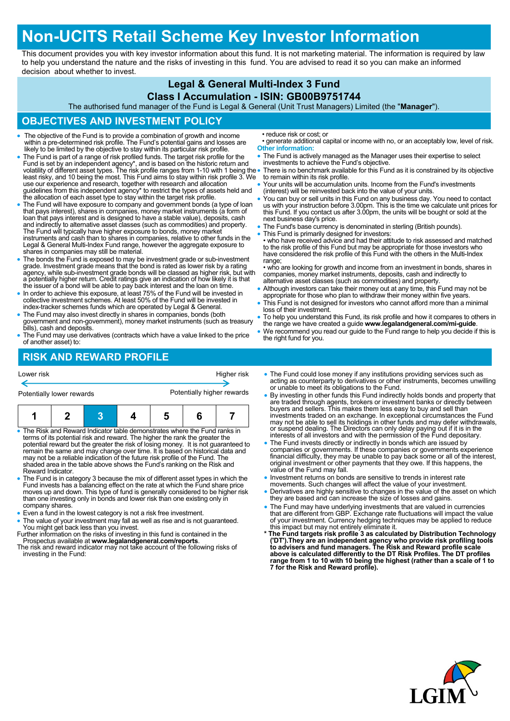# **Non-UCITS Retail Scheme Key Investor Information**

This document provides you with key investor information about this fund. It is not marketing material. The information is required by law to help you understand the nature and the risks of investing in this fund. You are advised to read it so you can make an informed decision about whether to invest.

### **Legal & General Multi-Index 3 Fund**

#### **Class I Accumulation - ISIN: GB00B9751744**

The authorised fund manager of the Fund is Legal & General (Unit Trust Managers) Limited (the "**Manager**").

### **OBJECTIVES AND INVESTMENT POLICY**

- The objective of the Fund is to provide a combination of growth and income within a pre-determined risk profile. The Fund's potential gains and losses are likely to be limited by the objective to stay within its particular risk profile.
- The Fund is part of a range of risk profiled funds. The target risk profile for the Fund is set by an independent agency\*, and is based on the historic return and<br>volatility of different asset types. The risk profile ranges from 1-10 with 1 being the<br>least risky, and 10 being the most. This Fund aims to s use our experience and research, together with research and allocation guidelines from this independent agency\* to restrict the types of assets held and the allocation of each asset type to stay within the target risk profile.
- The Fund will have exposure to company and government bonds (a type of loan that pays interest), shares in companies, money market instruments (a form of loan that pays interest and is designed to have a stable value), deposits, cash and indirectly to alternative asset classes (such as commodities) and property.<br>The Fund will typically have higher exposure to bonds, money market<br>instruments and cash than to shares in companies, relative to other funds Legal & General Multi-Index Fund range, however the aggregate exposure to shares in companies may still be material.
- The bonds the Fund is exposed to may be investment grade or sub-investment grade. Investment grade means that the bond is rated as lower risk by a rating agency, while sub-investment grade bonds will be classed as higher risk, but with a potentially higher return. Credit ratings give an indication of how likely it is that the issuer of a bond will be able to pay back interest and the loan on time.
- In order to achieve this exposure, at least 75% of the Fund will be invested in collective investment schemes. At least 50% of the Fund will be invested in index-tracker schemes funds which are operated by Legal & General.
- The Fund may also invest directly in shares in companies, bonds (both government and non-government), money market instruments (such as treasury bills), cash and deposits.
- The Fund may use derivatives (contracts which have a value linked to the price of another asset) to:

• reduce risk or cost; or

- generate additional capital or income with no, or an acceptably low, level of risk. **Other information:**
- The Fund is actively managed as the Manager uses their expertise to select investments to achieve the Fund's objective.
- There is no benchmark available for this Fund as it is constrained by its objective to remain within its risk profile.
- Your units will be accumulation units. Income from the Fund's investments (interest) will be reinvested back into the value of your units.
- You can buy or sell units in this Fund on any business day. You need to contact us with your instruction before 3.00pm. This is the time we calculate unit prices for this Fund. If you contact us after 3.00pm, the units will be bought or sold at the next business day's price.
- The Fund's base currency is denominated in sterling (British pounds).
- This Fund is primarily designed for investors:

• who have received advice and had their attitude to risk assessed and matched to the risk profile of this Fund but may be appropriate for those investors who have considered the risk profile of this Fund with the others in the Multi-Index range:

• who are looking for growth and income from an investment in bonds, shares in companies, money market instruments, deposits, cash and indirectly to alternative asset classes (such as commodities) and property.

- Although investors can take their money out at any time, this Fund may not be appropriate for those who plan to withdraw their money within five years.
- This Fund is not designed for investors who cannot afford more than a minimal loss of their investment.
- To help you understand this Fund, its risk profile and how it compares to others in the range we have created a guide **www.legalandgeneral.com/mi-guide**.
- We recommend you read our guide to the Fund range to help you decide if this is the right fund for you.

# **RISK AND REWARD PROFILE**

| Lower risk                                                                 |  |  |  | Higher risk                |   |  |  |
|----------------------------------------------------------------------------|--|--|--|----------------------------|---|--|--|
| Potentially lower rewards                                                  |  |  |  | Potentially higher rewards |   |  |  |
|                                                                            |  |  |  | 5                          | 6 |  |  |
| • The Risk and Reward Indicator table demonstrates where the Fund ranks in |  |  |  |                            |   |  |  |

- The Risk and Reward Indicator table demonstrates where the Fund ranks in terms of its potential risk and reward. The higher the rank the greater the potential reward but the greater the risk of losing money. It is not guaranteed to remain the same and may change over time. It is based on historical data and may not be a reliable indication of the future risk profile of the Fund. The shaded area in the table above shows the Fund's ranking on the Risk and Reward Indicator.
- The Fund is in category 3 because the mix of different asset types in which the Fund invests has a balancing effect on the rate at which the Fund share price moves up and down. This type of fund is generally considered to be higher risk than one investing only in bonds and lower risk than one existing only in company shares.
- Even a fund in the lowest category is not a risk free investment.
- The value of your investment may fall as well as rise and is not guaranteed. You might get back less than you invest.
- Further information on the risks of investing in this fund is contained in the Prospectus available at **www.legalandgeneral.com/reports**.
- The risk and reward indicator may not take account of the following risks of investing in the Fund:
- The Fund could lose money if any institutions providing services such as acting as counterparty to derivatives or other instruments, becomes unwilling or unable to meet its obligations to the Fund.
- By investing in other funds this Fund indirectly holds bonds and property that are traded through agents, brokers or investment banks or directly between buyers and sellers. This makes them less easy to buy and sell than investments traded on an exchange. In exceptional circumstances the Fund may not be able to sell its holdings in other funds and may defer withdrawals, or suspend dealing. The Directors can only delay paying out if it is in the interests of all investors and with the permission of the Fund depositary.
- The Fund invests directly or indirectly in bonds which are issued by companies or governments. If these companies or governments experience financial difficulty, they may be unable to pay back some or all of the interest, original investment or other payments that they owe. If this happens, the value of the Fund may fall.
- Investment returns on bonds are sensitive to trends in interest rate movements. Such changes will affect the value of your investment.
- Derivatives are highly sensitive to changes in the value of the asset on which they are based and can increase the size of losses and gains.
- 
- The Fund may have underlying investments that are valued in currencies<br>that are different from GBP. Exchange rate fluctuations will impact the value<br>of your investment. Currency hedging techniques may be applied to reduc